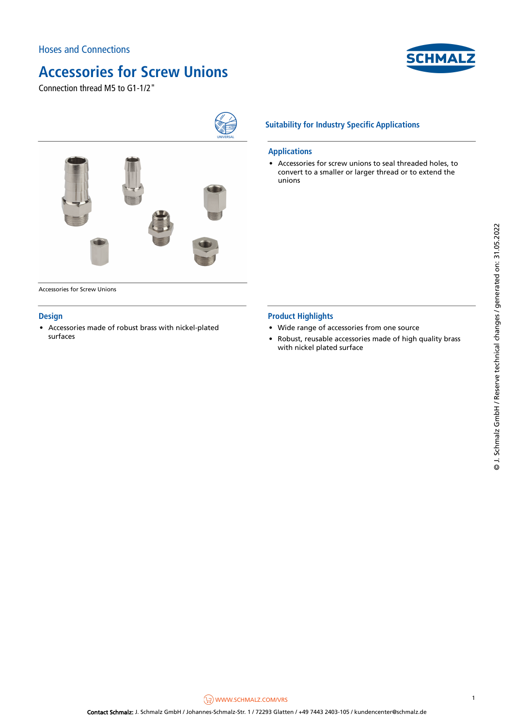

Connection thread M5 to G1-1/2"



Accessories for Screw Unions

### **Design**

• Accessories made of robust brass with nickel-plated • • surfaces

### **Suitability for Industry Specific Applications**

#### **Applications**

• Accessories for screw unions to seal threaded holes, to convert to a smaller or larger thread or to extend the unions

### **Product Highlights**

- Wide range of accessories from one source
- Robust, reusable accessories made of high quality brass with nickel plated surface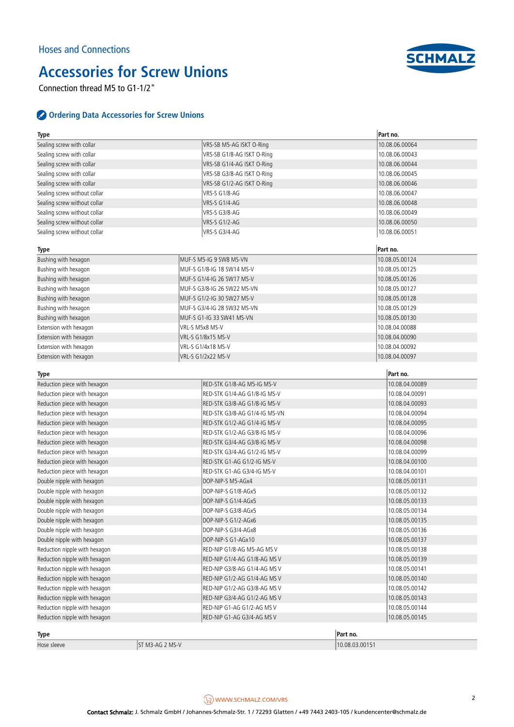

Connection thread M5 to G1-1/2"

### **Ordering Data Accessories for Screw Unions**

| <b>Type</b>                   |                               | Part no.       |
|-------------------------------|-------------------------------|----------------|
| Sealing screw with collar     | VRS-SB M5-AG ISKT O-Ring      | 10.08.06.00064 |
| Sealing screw with collar     | VRS-SB G1/8-AG ISKT O-Ring    | 10.08.06.00043 |
| Sealing screw with collar     | VRS-SB G1/4-AG ISKT O-Ring    | 10.08.06.00044 |
| Sealing screw with collar     | VRS-SB G3/8-AG ISKT O-Ring    | 10.08.06.00045 |
| Sealing screw with collar     | VRS-SB G1/2-AG ISKT O-Ring    | 10.08.06.00046 |
| Sealing screw without collar  | VRS-S G1/8-AG                 | 10.08.06.00047 |
| Sealing screw without collar  | VRS-S G1/4-AG                 | 10.08.06.00048 |
| Sealing screw without collar  | VRS-S G3/8-AG                 | 10.08.06.00049 |
| Sealing screw without collar  | <b>VRS-S G1/2-AG</b>          | 10.08.06.00050 |
| Sealing screw without collar  | VRS-S G3/4-AG                 | 10.08.06.00051 |
| Type                          |                               | Part no.       |
| Bushing with hexagon          | MUF-S M5-IG 9 SW8 MS-VN       | 10.08.05.00124 |
| Bushing with hexagon          | MUF-S G1/8-IG 18 SW14 MS-V    | 10.08.05.00125 |
| Bushing with hexagon          | MUF-S G1/4-IG 26 SW17 MS-V    | 10.08.05.00126 |
| Bushing with hexagon          | MUF-S G3/8-IG 26 SW22 MS-VN   | 10.08.05.00127 |
| Bushing with hexagon          | MUF-S G1/2-IG 30 SW27 MS-V    | 10.08.05.00128 |
| Bushing with hexagon          | MUF-S G3/4-IG 28 SW32 MS-VN   | 10.08.05.00129 |
| Bushing with hexagon          | MUF-S G1-IG 33 SW41 MS-VN     | 10.08.05.00130 |
| Extension with hexagon        | VRL-S M5x8 MS-V               | 10.08.04.00088 |
| Extension with hexagon        | VRL-S G1/8x15 MS-V            | 10.08.04.00090 |
| Extension with hexagon        | <b>VRL-S G1/4x18 MS-V</b>     | 10.08.04.00092 |
| Extension with hexagon        | VRL-S G1/2x22 MS-V            | 10.08.04.00097 |
|                               |                               |                |
| Type                          |                               | Part no.       |
| Reduction piece with hexagon  | RED-STK G1/8-AG M5-IG MS-V    | 10.08.04.00089 |
| Reduction piece with hexagon  | RED-STK G1/4-AG G1/8-IG MS-V  | 10.08.04.00091 |
| Reduction piece with hexagon  | RED-STK G3/8-AG G1/8-IG MS-V  | 10.08.04.00093 |
| Reduction piece with hexagon  | RED-STK G3/8-AG G1/4-IG MS-VN | 10.08.04.00094 |
| Reduction piece with hexagon  | RED-STK G1/2-AG G1/4-IG MS-V  | 10.08.04.00095 |
| Reduction piece with hexagon  | RED-STK G1/2-AG G3/8-IG MS-V  | 10.08.04.00096 |
| Reduction piece with hexagon  | RED-STK G3/4-AG G3/8-IG MS-V  | 10.08.04.00098 |
| Reduction piece with hexagon  | RED-STK G3/4-AG G1/2-IG MS-V  | 10.08.04.00099 |
| Reduction piece with hexagon  | RED-STK G1-AG G1/2-IG MS-V    | 10.08.04.00100 |
| Reduction piece with hexagon  | RED-STK G1-AG G3/4-IG MS-V    | 10.08.04.00101 |
| Double nipple with hexagon    | DOP-NIP-S M5-AGx4             | 10.08.05.00131 |
| Double nipple with hexagon    | DOP-NIP-S G1/8-AGx5           | 10.08.05.00132 |
| Double nipple with hexagon    | DOP-NIP-S G1/4-AGx5           | 10.08.05.00133 |
| Double nipple with hexagon    | DOP-NIP-S G3/8-AGx5           | 10.08.05.00134 |
| Double nipple with hexagon    | DOP-NIP-S G1/2-AGx6           | 10.08.05.00135 |
| Double nipple with hexagon    | DOP-NIP-S G3/4-AGx8           | 10.08.05.00136 |
| Double nipple with hexagon    | DOP-NIP-S G1-AGx10            | 10.08.05.00137 |
| Reduction nipple with hexagon | RED-NIP G1/8-AG M5-AG MS V    | 10.08.05.00138 |
| Reduction nipple with hexagon | RED-NIP G1/4-AG G1/8-AG MSV   | 10.08.05.00139 |
| Reduction nipple with hexagon | RED-NIP G3/8-AG G1/4-AG MSV   | 10.08.05.00141 |
| Reduction nipple with hexagon | RED-NIP G1/2-AG G1/4-AG MS V  | 10.08.05.00140 |
| Reduction nipple with hexagon | RED-NIP G1/2-AG G3/8-AG MSV   | 10.08.05.00142 |
| Reduction nipple with hexagon | RED-NIP G3/4-AG G1/2-AG MS V  | 10.08.05.00143 |
| Reduction nipple with hexagon | RED-NIP G1-AG G1/2-AG MSV     | 10.08.05.00144 |
| Reduction nipple with hexagon | RED-NIP G1-AG G3/4-AG MS V    | 10.08.05.00145 |
| Type                          |                               | Part no.       |

Hose sleeve ST M3-AG 2 MS-V 3 ST M3-AG 2 MS-V 3 ASSESSMENT ASSESSMENT ASSESSMENT ASSESSMENT ASSESSMENT ASSESSMENT ASSESSMENT ASSESSMENT ASSESSMENT ASSESSMENT ASSESSMENT ASSESSMENT ASSESSMENT ASSESSMENT ASSESSMENT ASSESSMEN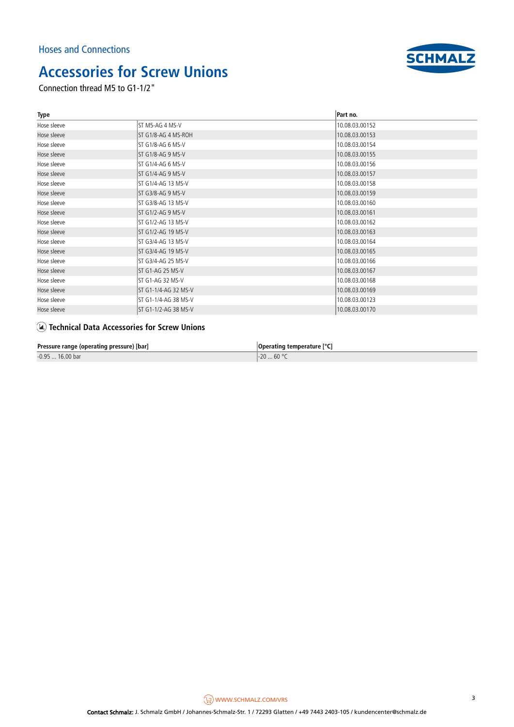

Connection thread M5 to G1-1/2"

| Type        |                       | Part no.       |
|-------------|-----------------------|----------------|
| Hose sleeve | IST M5-AG 4 MS-V      | 10.08.03.00152 |
| Hose sleeve | IST G1/8-AG 4 MS-ROH  | 10.08.03.00153 |
| Hose sleeve | IST G1/8-AG 6 MS-V    | 10.08.03.00154 |
| Hose sleeve | ST G1/8-AG 9 MS-V     | 10.08.03.00155 |
| Hose sleeve | IST G1/4-AG 6 MS-V    | 10.08.03.00156 |
| Hose sleeve | IST G1/4-AG 9 MS-V    | 10.08.03.00157 |
| Hose sleeve | IST G1/4-AG 13 MS-V   | 10.08.03.00158 |
| Hose sleeve | IST G3/8-AG 9 MS-V    | 10.08.03.00159 |
| Hose sleeve | IST G3/8-AG 13 MS-V   | 10.08.03.00160 |
| Hose sleeve | IST G1/2-AG 9 MS-V    | 10.08.03.00161 |
| Hose sleeve | IST G1/2-AG 13 MS-V   | 10.08.03.00162 |
| Hose sleeve | IST G1/2-AG 19 MS-V   | 10.08.03.00163 |
| Hose sleeve | IST G3/4-AG 13 MS-V   | 10.08.03.00164 |
| Hose sleeve | IST G3/4-AG 19 MS-V   | 10.08.03.00165 |
| Hose sleeve | IST G3/4-AG 25 MS-V   | 10.08.03.00166 |
| Hose sleeve | IST G1-AG 25 MS-V     | 10.08.03.00167 |
| Hose sleeve | lst G1-AG 32 MS-V     | 10.08.03.00168 |
| Hose sleeve | IST G1-1/4-AG 32 MS-V | 10.08.03.00169 |
| Hose sleeve | IST G1-1/4-AG 38 MS-V | 10.08.03.00123 |
| Hose sleeve | IST G1-1/2-AG 38 MS-V | 10.08.03.00170 |

### **Technical Data Accessories for Screw Unions**

**Pressure range (operating pressure) [bar] Operating temperature [°C] Operating temperature [°C]** 

-0.95 ... 16.00 bar -20 ... 60 °C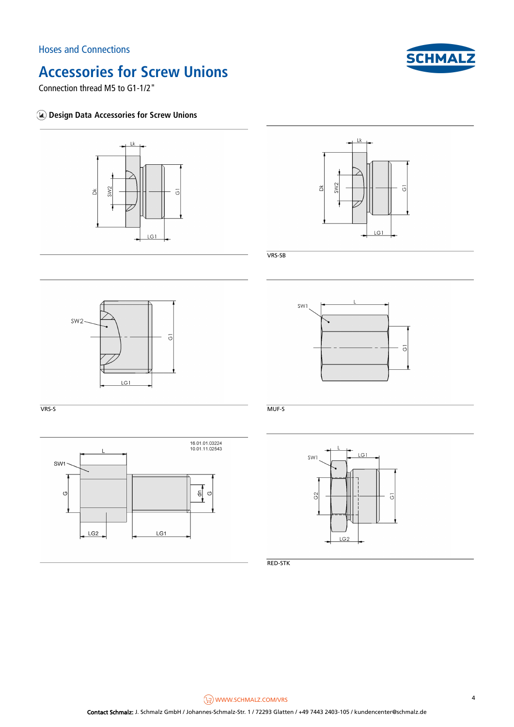

Connection thread M5 to G1-1/2"

### **Design Data Accessories for Screw Unions**





 $\overline{\circ}$ 

VRS-SB

SW1





VRS-S MUF-S



RED-STK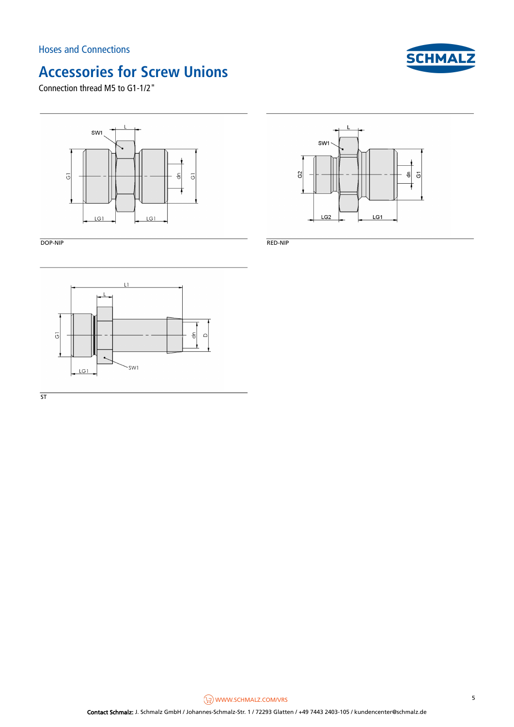

Connection thread M5 to G1-1/2"



DOP-NIP RED-NIP



 $\overline{\mathsf{ST}}$ 

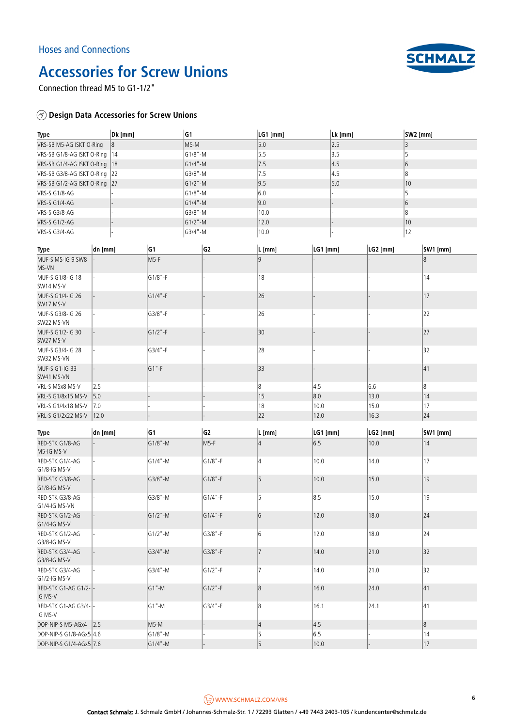

Connection thread M5 to G1-1/2"

### **Design Data Accessories for Screw Unions**

| <b>Type</b>                       |            | Dk [mm]    |             | G1             |                | LG1 [mm]                             | Lk [mm]  |          | SW2 [mm] |                  |  |
|-----------------------------------|------------|------------|-------------|----------------|----------------|--------------------------------------|----------|----------|----------|------------------|--|
| VRS-SB M5-AG ISKT O-Ring          | 8          |            | M5-M        |                |                | 5.0                                  | 2.5      |          |          | 3                |  |
| VRS-SB G1/8-AG ISKT O-Ring        | 14         |            |             | G1/8"-M        |                | 5.5                                  | 3.5      |          | 5        |                  |  |
| VRS-SB G1/4-AG ISKT O-Ring        | 18         |            |             | G1/4"-M        |                | 7.5                                  | 4.5      |          | 6        |                  |  |
| VRS-SB G3/8-AG ISKT O-Ring<br> 22 |            |            | G3/8"-M     |                | 7.5            | 4.5                                  |          | 8        |          |                  |  |
| VRS-SB G1/2-AG ISKT O-Ring<br> 27 |            |            | G1/2"-M     |                | 9.5            | 5.0                                  |          | 10       |          |                  |  |
| VRS-S G1/8-AG                     |            |            |             | G1/8"-M        |                | 6.0                                  |          |          | 5        |                  |  |
| <b>VRS-S G1/4-AG</b>              |            |            |             | G1/4"-M        |                | 9.0                                  |          |          | 6        |                  |  |
| VRS-S G3/8-AG                     |            |            |             | G3/8"-M        |                | 10.0                                 |          |          |          | 8                |  |
| <b>VRS-S G1/2-AG</b>              |            |            |             | G1/2"-M        |                | 12.0                                 |          |          |          | 10               |  |
| VRS-S G3/4-AG                     |            |            | G3/4"-M     |                |                | 10.0                                 |          |          |          |                  |  |
|                                   |            |            |             |                |                |                                      |          |          |          | 12               |  |
| Type                              | dn [mm]    |            | G1          | G <sub>2</sub> |                | $\mathsf{L}\left[\mathsf{mm}\right]$ | LG1 [mm] | LG2 [mm] |          | SW1 [mm]         |  |
| MUF-S M5-IG 9 SW8<br>MS-VN        |            |            | $M5-F$      |                |                | $\overline{9}$                       |          |          |          | $\boldsymbol{8}$ |  |
| MUF-S G1/8-IG 18<br>SW14 MS-V     |            |            | $G1/8" - F$ |                |                | 18                                   |          |          |          | 14               |  |
| MUF-S G1/4-IG 26<br>SW17 MS-V     |            |            | $G1/4" - F$ |                |                | 26                                   |          |          | 17       |                  |  |
| MUF-S G3/8-IG 26<br>SW22 MS-VN    |            |            | G3/8"-F     |                |                | 26                                   |          |          |          | 22               |  |
| MUF-S G1/2-IG 30<br>SW27 MS-V     |            |            | $G1/2$ "-F  |                |                | 30                                   |          |          |          | 27               |  |
| MUF-S G3/4-IG 28<br>SW32 MS-VN    |            |            | G3/4"-F     |                |                | 28                                   |          |          |          | 32               |  |
| MUF-S G1-IG 33<br>SW41 MS-VN      |            |            | $G1$ "-F    |                |                | 33                                   |          |          |          | 41               |  |
| VRL-S M5x8 MS-V                   | 2.5        |            |             |                |                | 8                                    | 4.5      | 6.6      |          | 8                |  |
| VRL-S G1/8x15 MS-V                | 5.0        |            |             |                |                | 15                                   | 8.0      | 13.0     |          | 14               |  |
| VRL-S G1/4x18 MS-V                | 7.0        |            |             |                |                | 18                                   | 10.0     | 15.0     |          | 17               |  |
| VRL-S G1/2x22 MS-V                | 12.0       |            |             |                |                | 22                                   | 12.0     | 16.3     |          | 24               |  |
|                                   |            |            |             |                |                |                                      |          |          |          |                  |  |
| Type                              | $ dn$ [mm] |            | G1          |                | G <sub>2</sub> | $\lfloor L \lfloor mm \rfloor$       | LG1 [mm] | LG2 [mm] |          | SW1 [mm]         |  |
| RED-STK G1/8-AG<br>M5-IG MS-V     |            |            | G1/8"-M     |                | M5-F           | 4                                    | 6.5      | 10.0     |          | 14               |  |
| RED-STK G1/4-AG<br>G1/8-IG MS-V   |            |            | G1/4"-M     |                | G1/8"-F        | 4                                    | 10.0     | 14.0     |          | 17               |  |
| RED-STK G3/8-AG<br>G1/8-IG MS-V   |            |            | G3/8"-M     |                | G1/8"-F        | 5                                    | 10.0     | 15.0     |          | 19               |  |
| RED-STK G3/8-AG<br>G1/4-IG MS-VN  |            |            | G3/8"-M     |                | G1/4"-F        | 5                                    | 8.5      | 15.0     |          | 19               |  |
| RED-STK G1/2-AG<br>G1/4-IG MS-V   |            | $G1/2$ "-M |             |                | G1/4"-F        | $6\overline{6}$                      | 12.0     | 18.0     |          | 24               |  |
| RED-STK G1/2-AG<br>G3/8-IG MS-V   |            | G1/2"-M    |             | G3/8"-F        |                | 6                                    | 12.0     | 18.0     |          | 24               |  |
| RED-STK G3/4-AG<br>G3/8-IG MS-V   |            | G3/4"-M    |             | G3/8"-F        |                | $\overline{7}$                       | 14.0     | 21.0     |          | 32               |  |
| RED-STK G3/4-AG<br>G1/2-IG MS-V   |            | G3/4"-M    |             | G1/2"-F        |                | 7                                    | 14.0     | 21.0     |          | 32               |  |
| RED-STK G1-AG G1/2-<br>IG MS-V    |            |            | $G1$ "-M    |                | G1/2"-F        | 8                                    | 16.0     | 24.0     |          | 41               |  |
| RED-STK G1-AG G3/4-<br>IG MS-V    |            |            | G1"-M       |                | G3/4"-F        | 8                                    | 16.1     | 24.1     |          | 41               |  |
| DOP-NIP-S M5-AGx4 2.5             |            |            | M5-M        |                |                | $\vert 4 \vert$                      | 4.5      |          |          | 8                |  |
| DOP-NIP-S G1/8-AGx5 4.6           |            |            | G1/8"-M     |                |                | 5                                    | 6.5      |          |          | 14               |  |
| DOP-NIP-S G1/4-AGx5 7.6           |            |            | G1/4"-M     |                |                | 5                                    | 10.0     |          |          | 17               |  |